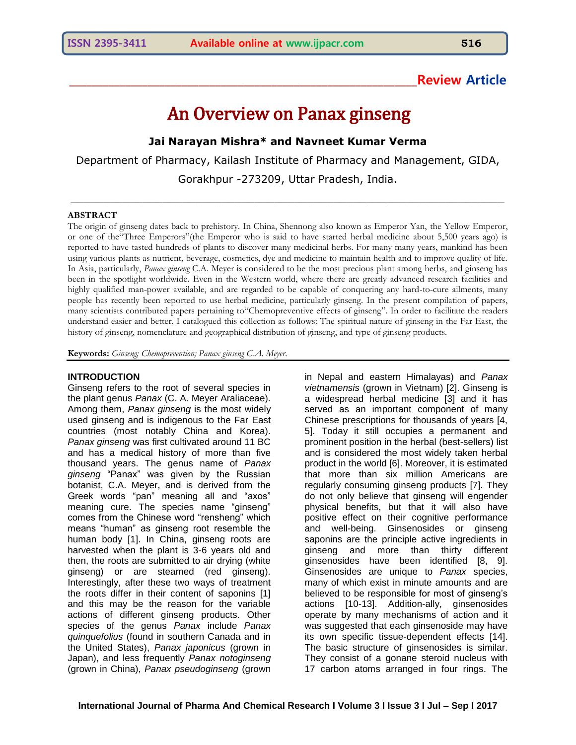## **\_\_\_\_\_\_\_\_\_\_\_\_\_\_\_\_\_\_\_\_\_\_\_\_\_\_\_\_\_\_\_\_\_\_\_\_\_\_\_\_\_\_\_\_\_\_\_\_\_\_\_\_\_\_\_\_\_\_\_\_\_\_Review Article**

# An Overview on Panax ginseng

**Jai Narayan Mishra\* and Navneet Kumar Verma**

Department of Pharmacy, Kailash Institute of Pharmacy and Management, GIDA, Gorakhpur -273209, Uttar Pradesh, India.

 $\_$  , and the set of the set of the set of the set of the set of the set of the set of the set of the set of the set of the set of the set of the set of the set of the set of the set of the set of the set of the set of th

#### **ABSTRACT**

The origin of ginseng dates back to prehistory. In China, Shennong also known as Emperor Yan, the Yellow Emperor, or one of the"Three Emperors"(the Emperor who is said to have started herbal medicine about 5,500 years ago) is reported to have tasted hundreds of plants to discover many medicinal herbs. For many many years, mankind has been using various plants as nutrient, beverage, cosmetics, dye and medicine to maintain health and to improve quality of life. In Asia, particularly, *Panax ginseng* C.A. Meyer is considered to be the most precious plant among herbs, and ginseng has been in the spotlight worldwide. Even in the Western world, where there are greatly advanced research facilities and highly qualified man-power available, and are regarded to be capable of conquering any hard-to-cure ailments, many people has recently been reported to use herbal medicine, particularly ginseng. In the present compilation of papers, many scientists contributed papers pertaining to"Chemopreventive effects of ginseng". In order to facilitate the readers understand easier and better, I catalogued this collection as follows: The spiritual nature of ginseng in the Far East, the history of ginseng, nomenclature and geographical distribution of ginseng, and type of ginseng products.

**Keywords:** *Ginseng; Chemoprevention; Panax ginseng C.A. Meyer.*

#### **INTRODUCTION**

Ginseng refers to the root of several species in the plant genus *Panax* (C. A. Meyer Araliaceae). Among them, *Panax ginseng* is the most widely used ginseng and is indigenous to the Far East countries (most notably China and Korea). *Panax ginseng* was first cultivated around 11 BC and has a medical history of more than five thousand years. The genus name of *Panax ginseng* "Panax" was given by the Russian botanist, C.A. Meyer, and is derived from the Greek words "pan" meaning all and "axos" meaning cure. The species name "ginseng" comes from the Chinese word "rensheng" which means "human" as ginseng root resemble the human body [1]. In China, ginseng roots are harvested when the plant is 3-6 years old and then, the roots are submitted to air drying (white ginseng) or are steamed (red ginseng). Interestingly, after these two ways of treatment the roots differ in their content of saponins [1] and this may be the reason for the variable actions of different ginseng products. Other species of the genus *Panax* include *Panax quinquefolius* (found in southern Canada and in the United States), *Panax japonicus* (grown in Japan), and less frequently *Panax notoginseng*  (grown in China), *Panax pseudoginseng* (grown

in Nepal and eastern Himalayas) and *Panax vietnamensis* (grown in Vietnam) [2]. Ginseng is a widespread herbal medicine [3] and it has served as an important component of many Chinese prescriptions for thousands of years [4, 5]. Today it still occupies a permanent and prominent position in the herbal (best-sellers) list and is considered the most widely taken herbal product in the world [6]. Moreover, it is estimated that more than six million Americans are regularly consuming ginseng products [7]. They do not only believe that ginseng will engender physical benefits, but that it will also have positive effect on their cognitive performance and well-being. Ginsenosides or ginseng saponins are the principle active ingredients in ginseng and more than thirty different ginsenosides have been identified [8, 9]. Ginsenosides are unique to *Panax* species, many of which exist in minute amounts and are believed to be responsible for most of ginseng's actions [10-13]. Addition-ally, ginsenosides operate by many mechanisms of action and it was suggested that each ginsenoside may have its own specific tissue-dependent effects [14]. The basic structure of ginsenosides is similar. They consist of a gonane steroid nucleus with 17 carbon atoms arranged in four rings. The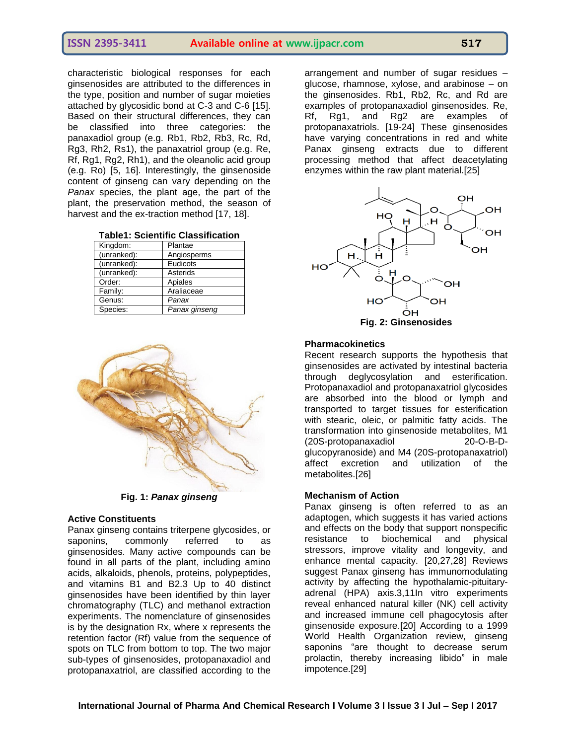characteristic biological responses for each ginsenosides are attributed to the differences in the type, position and number of sugar moieties attached by glycosidic bond at C-3 and C-6 [15]. Based on their structural differences, they can be classified into three categories: the panaxadiol group (e.g. Rb1, Rb2, Rb3, Rc, Rd, Rg3, Rh2, Rs1), the panaxatriol group (e.g. Re, Rf, Rg1, Rg2, Rh1), and the oleanolic acid group (e.g. Ro) [5, 16]. Interestingly, the ginsenoside content of ginseng can vary depending on the *Panax* species, the plant age, the part of the plant, the preservation method, the season of harvest and the ex-traction method [17, 18].

| Table1: Scientific Classification |  |
|-----------------------------------|--|
|-----------------------------------|--|

| Kingdom:    | Plantae       |
|-------------|---------------|
| (unranked): | Angiosperms   |
| (unranked): | Eudicots      |
| (unranked): | Asterids      |
| Order:      | Apiales       |
| Family:     | Araliaceae    |
| Genus:      | Panax         |
| Species:    | Panax ginseng |



**Fig. 1:** *Panax ginseng*

#### **Active Constituents**

Panax ginseng contains triterpene glycosides, or saponins, commonly referred to as ginsenosides. Many active compounds can be found in all parts of the plant, including amino acids, alkaloids, phenols, proteins, polypeptides, and vitamins B1 and B2.3 Up to 40 distinct ginsenosides have been identified by thin layer chromatography (TLC) and methanol extraction experiments. The nomenclature of ginsenosides is by the designation Rx, where x represents the retention factor (Rf) value from the sequence of spots on TLC from bottom to top. The two major sub-types of ginsenosides, protopanaxadiol and protopanaxatriol, are classified according to the

arrangement and number of sugar residues – glucose, rhamnose, xylose, and arabinose – on the ginsenosides. Rb1, Rb2, Rc, and Rd are examples of protopanaxadiol ginsenosides. Re, Rf, Rg1, and Rg2 are examples of protopanaxatriols. [19-24] These ginsenosides have varying concentrations in red and white Panax ginseng extracts due to different processing method that affect deacetylating enzymes within the raw plant material.[25]



#### **Pharmacokinetics**

Recent research supports the hypothesis that ginsenosides are activated by intestinal bacteria through deglycosylation and esterification. Protopanaxadiol and protopanaxatriol glycosides are absorbed into the blood or lymph and transported to target tissues for esterification with stearic, oleic, or palmitic fatty acids. The transformation into ginsenoside metabolites, M1 (20S-protopanaxadiol 20-O-B-Dglucopyranoside) and M4 (20S-protopanaxatriol) affect excretion and utilization of the metabolites.[26]

#### **Mechanism of Action**

Panax ginseng is often referred to as an adaptogen, which suggests it has varied actions and effects on the body that support nonspecific resistance to biochemical and physical stressors, improve vitality and longevity, and enhance mental capacity. [20,27,28] Reviews suggest Panax ginseng has immunomodulating activity by affecting the hypothalamic-pituitaryadrenal (HPA) axis.3,11In vitro experiments reveal enhanced natural killer (NK) cell activity and increased immune cell phagocytosis after ginsenoside exposure.[20] According to a 1999 World Health Organization review, ginseng saponins "are thought to decrease serum prolactin, thereby increasing libido" in male impotence.[29]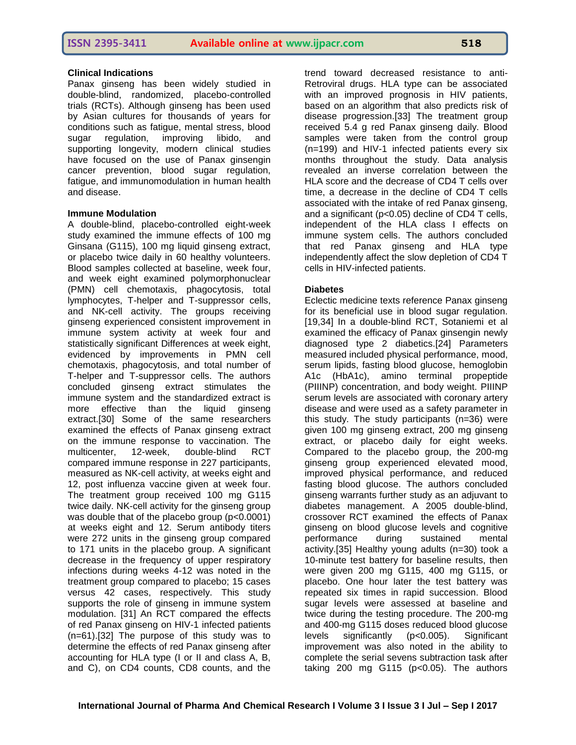## **Clinical Indications**

Panax ginseng has been widely studied in double-blind, randomized, placebo-controlled trials (RCTs). Although ginseng has been used by Asian cultures for thousands of years for conditions such as fatigue, mental stress, blood sugar regulation, improving libido, and supporting longevity, modern clinical studies have focused on the use of Panax ginsengin cancer prevention, blood sugar regulation, fatigue, and immunomodulation in human health and disease.

### **Immune Modulation**

A double-blind, placebo-controlled eight-week study examined the immune effects of 100 mg Ginsana (G115), 100 mg liquid ginseng extract, or placebo twice daily in 60 healthy volunteers. Blood samples collected at baseline, week four, and week eight examined polymorphonuclear (PMN) cell chemotaxis, phagocytosis, total lymphocytes, T-helper and T-suppressor cells, and NK-cell activity. The groups receiving ginseng experienced consistent improvement in immune system activity at week four and statistically significant Differences at week eight, evidenced by improvements in PMN cell chemotaxis, phagocytosis, and total number of T-helper and T-suppressor cells. The authors concluded ginseng extract stimulates the immune system and the standardized extract is more effective than the liquid ginseng extract.[30] Some of the same researchers examined the effects of Panax ginseng extract on the immune response to vaccination. The multicenter, 12-week, double-blind RCT compared immune response in 227 participants, measured as NK-cell activity, at weeks eight and 12, post influenza vaccine given at week four. The treatment group received 100 mg G115 twice daily. NK-cell activity for the ginseng group was double that of the placebo group (p<0.0001) at weeks eight and 12. Serum antibody titers were 272 units in the ginseng group compared to 171 units in the placebo group. A significant decrease in the frequency of upper respiratory infections during weeks 4-12 was noted in the treatment group compared to placebo; 15 cases versus 42 cases, respectively. This study supports the role of ginseng in immune system modulation. [31] An RCT compared the effects of red Panax ginseng on HIV-1 infected patients (n=61).[32] The purpose of this study was to determine the effects of red Panax ginseng after accounting for HLA type (I or II and class A, B, and C), on CD4 counts, CD8 counts, and the

trend toward decreased resistance to anti-Retroviral drugs. HLA type can be associated with an improved prognosis in HIV patients, based on an algorithm that also predicts risk of disease progression.[33] The treatment group received 5.4 g red Panax ginseng daily. Blood samples were taken from the control group (n=199) and HIV-1 infected patients every six months throughout the study. Data analysis revealed an inverse correlation between the HLA score and the decrease of CD4 T cells over time, a decrease in the decline of CD4 T cells associated with the intake of red Panax ginseng, and a significant (p<0.05) decline of CD4 T cells, independent of the HLA class I effects on immune system cells. The authors concluded that red Panax ginseng and HLA type independently affect the slow depletion of CD4 T cells in HIV-infected patients.

## **Diabetes**

Eclectic medicine texts reference Panax ginseng for its beneficial use in blood sugar regulation. [19,34] In a double-blind RCT, Sotaniemi et al examined the efficacy of Panax ginsengin newly diagnosed type 2 diabetics.[24] Parameters measured included physical performance, mood, serum lipids, fasting blood glucose, hemoglobin A1c (HbA1c), amino terminal propeptide (PIIINP) concentration, and body weight. PIIINP serum levels are associated with coronary artery disease and were used as a safety parameter in this study. The study participants (n=36) were given 100 mg ginseng extract, 200 mg ginseng extract, or placebo daily for eight weeks. Compared to the placebo group, the 200-mg ginseng group experienced elevated mood, improved physical performance, and reduced fasting blood glucose. The authors concluded ginseng warrants further study as an adjuvant to diabetes management. A 2005 double-blind, crossover RCT examined the effects of Panax ginseng on blood glucose levels and cognitive performance during sustained mental activity.[35] Healthy young adults (n=30) took a 10-minute test battery for baseline results, then were given 200 mg G115, 400 mg G115, or placebo. One hour later the test battery was repeated six times in rapid succession. Blood sugar levels were assessed at baseline and twice during the testing procedure. The 200-mg and 400-mg G115 doses reduced blood glucose levels significantly (p<0.005). Significant improvement was also noted in the ability to complete the serial sevens subtraction task after taking 200 mg G115 ( $p<0.05$ ). The authors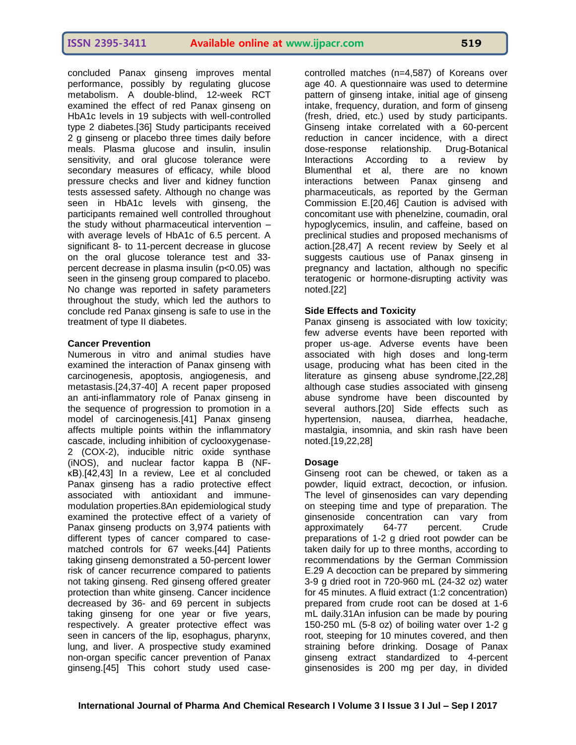concluded Panax ginseng improves mental performance, possibly by regulating glucose metabolism. A double-blind, 12-week RCT examined the effect of red Panax ginseng on HbA1c levels in 19 subjects with well-controlled type 2 diabetes.[36] Study participants received 2 g ginseng or placebo three times daily before meals. Plasma glucose and insulin, insulin sensitivity, and oral glucose tolerance were secondary measures of efficacy, while blood pressure checks and liver and kidney function tests assessed safety. Although no change was seen in HbA1c levels with ginseng, the participants remained well controlled throughout the study without pharmaceutical intervention – with average levels of HbA1c of 6.5 percent. A significant 8- to 11-percent decrease in glucose on the oral glucose tolerance test and 33 percent decrease in plasma insulin (p<0.05) was seen in the ginseng group compared to placebo. No change was reported in safety parameters throughout the study, which led the authors to conclude red Panax ginseng is safe to use in the treatment of type II diabetes.

## **Cancer Prevention**

Numerous in vitro and animal studies have examined the interaction of Panax ginseng with carcinogenesis, apoptosis, angiogenesis, and metastasis.[24,37-40] A recent paper proposed an anti-inflammatory role of Panax ginseng in the sequence of progression to promotion in a model of carcinogenesis.[41] Panax ginseng affects multiple points within the inflammatory cascade, including inhibition of cyclooxygenase-2 (COX-2), inducible nitric oxide synthase (iNOS), and nuclear factor kappa B (NFκB).[42,43] In a review, Lee et al concluded Panax ginseng has a radio protective effect associated with antioxidant and immunemodulation properties.8An epidemiological study examined the protective effect of a variety of Panax ginseng products on 3,974 patients with different types of cancer compared to casematched controls for 67 weeks.[44] Patients taking ginseng demonstrated a 50-percent lower risk of cancer recurrence compared to patients not taking ginseng. Red ginseng offered greater protection than white ginseng. Cancer incidence decreased by 36- and 69 percent in subjects taking ginseng for one year or five years, respectively. A greater protective effect was seen in cancers of the lip, esophagus, pharynx, lung, and liver. A prospective study examined non-organ specific cancer prevention of Panax ginseng.[45] This cohort study used casecontrolled matches (n=4,587) of Koreans over age 40. A questionnaire was used to determine pattern of ginseng intake, initial age of ginseng intake, frequency, duration, and form of ginseng (fresh, dried, etc.) used by study participants. Ginseng intake correlated with a 60-percent reduction in cancer incidence, with a direct dose-response relationship. Drug-Botanical Interactions According to a review by Blumenthal et al, there are no known interactions between Panax ginseng and pharmaceuticals, as reported by the German Commission E.[20,46] Caution is advised with concomitant use with phenelzine, coumadin, oral hypoglycemics, insulin, and caffeine, based on preclinical studies and proposed mechanisms of action.[28,47] A recent review by Seely et al suggests cautious use of Panax ginseng in pregnancy and lactation, although no specific teratogenic or hormone-disrupting activity was noted.[22]

## **Side Effects and Toxicity**

Panax ginseng is associated with low toxicity; few adverse events have been reported with proper us-age. Adverse events have been associated with high doses and long-term usage, producing what has been cited in the literature as ginseng abuse syndrome,[22,28] although case studies associated with ginseng abuse syndrome have been discounted by several authors.[20] Side effects such as hypertension, nausea, diarrhea, headache, mastalgia, insomnia, and skin rash have been noted.[19,22,28]

### **Dosage**

Ginseng root can be chewed, or taken as a powder, liquid extract, decoction, or infusion. The level of ginsenosides can vary depending on steeping time and type of preparation. The ginsenoside concentration can vary from approximately 64-77 percent. Crude preparations of 1-2 g dried root powder can be taken daily for up to three months, according to recommendations by the German Commission E.29 A decoction can be prepared by simmering 3-9 g dried root in 720-960 mL (24-32 oz) water for 45 minutes. A fluid extract (1:2 concentration) prepared from crude root can be dosed at 1-6 mL daily.31An infusion can be made by pouring 150-250 mL (5-8 oz) of boiling water over 1-2 g root, steeping for 10 minutes covered, and then straining before drinking. Dosage of Panax ginseng extract standardized to 4-percent ginsenosides is 200 mg per day, in divided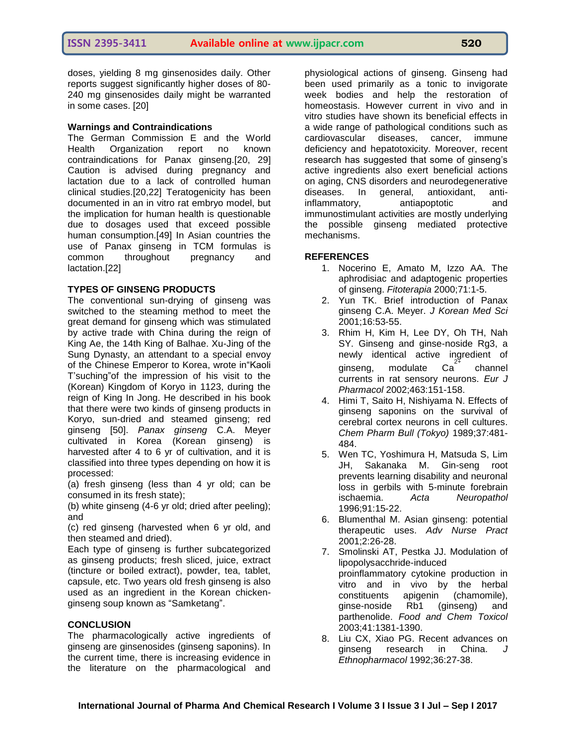doses, yielding 8 mg ginsenosides daily. Other reports suggest significantly higher doses of 80- 240 mg ginsenosides daily might be warranted in some cases. [20]

#### **Warnings and Contraindications**

The German Commission E and the World Health Organization report no known contraindications for Panax ginseng.[20, 29] Caution is advised during pregnancy and lactation due to a lack of controlled human clinical studies.[20,22] Teratogenicity has been documented in an in vitro rat embryo model, but the implication for human health is questionable due to dosages used that exceed possible human consumption.[49] In Asian countries the use of Panax ginseng in TCM formulas is common throughout pregnancy and lactation.[22]

### **TYPES OF GINSENG PRODUCTS**

The conventional sun-drying of ginseng was switched to the steaming method to meet the great demand for ginseng which was stimulated by active trade with China during the reign of King Ae, the 14th King of Balhae. Xu-Jing of the Sung Dynasty, an attendant to a special envoy of the Chinese Emperor to Korea, wrote in"Kaoli T'suching"of the impression of his visit to the (Korean) Kingdom of Koryo in 1123, during the reign of King In Jong. He described in his book that there were two kinds of ginseng products in Koryo, sun-dried and steamed ginseng; red ginseng [50]. *Panax ginseng* C.A. Meyer cultivated in Korea (Korean ginseng) is harvested after 4 to 6 yr of cultivation, and it is classified into three types depending on how it is processed:

(a) fresh ginseng (less than 4 yr old; can be consumed in its fresh state);

(b) white ginseng (4-6 yr old; dried after peeling); and

(c) red ginseng (harvested when 6 yr old, and then steamed and dried).

Each type of ginseng is further subcategorized as ginseng products; fresh sliced, juice, extract (tincture or boiled extract), powder, tea, tablet, capsule, etc. Two years old fresh ginseng is also used as an ingredient in the Korean chickenginseng soup known as "Samketang".

### **CONCLUSION**

The pharmacologically active ingredients of ginseng are ginsenosides (ginseng saponins). In the current time, there is increasing evidence in the literature on the pharmacological and

physiological actions of ginseng. Ginseng had been used primarily as a tonic to invigorate week bodies and help the restoration of homeostasis. However current in vivo and in vitro studies have shown its beneficial effects in a wide range of pathological conditions such as cardiovascular diseases, cancer, immune deficiency and hepatotoxicity. Moreover, recent research has suggested that some of ginseng's active ingredients also exert beneficial actions on aging, CNS disorders and neurodegenerative diseases. In general, antioxidant, antiinflammatory, antiapoptotic and immunostimulant activities are mostly underlying the possible ginseng mediated protective mechanisms.

### **REFERENCES**

- 1. Nocerino E, Amato M, Izzo AA. The aphrodisiac and adaptogenic properties of ginseng. *Fitoterapia* 2000;71:1-5.
- 2. Yun TK. Brief introduction of Panax ginseng C.A. Meyer. *J Korean Med Sci*  2001;16:53-55.
- 3. Rhim H, Kim H, Lee DY, Oh TH, Nah SY. Ginseng and ginse-noside Rg3, a newly identical active ingredient of ginseng, modulate  $Ca<sup>2</sup>$ channel currents in rat sensory neurons. *Eur J Pharmacol* 2002;463:151-158.
- 4. Himi T, Saito H, Nishiyama N. Effects of ginseng saponins on the survival of cerebral cortex neurons in cell cultures. *Chem Pharm Bull (Tokyo)* 1989;37:481- 484.
- 5. Wen TC, Yoshimura H, Matsuda S, Lim JH, Sakanaka M. Gin-seng root prevents learning disability and neuronal loss in gerbils with 5-minute forebrain ischaemia. *Acta Neuropathol*  1996;91:15-22.
- 6. Blumenthal M. Asian ginseng: potential therapeutic uses. *Adv Nurse Pract*  2001;2:26-28.
- 7. Smolinski AT, Pestka JJ. Modulation of lipopolysacchride-induced proinflammatory cytokine production in vitro and in vivo by the herbal constituents apigenin (chamomile), ginse-noside Rb1 (ginseng) and parthenolide. *Food and Chem Toxicol*  2003;41:1381-1390.
- 8. Liu CX, Xiao PG. Recent advances on ginseng research in China. *J Ethnopharmacol* 1992;36:27-38.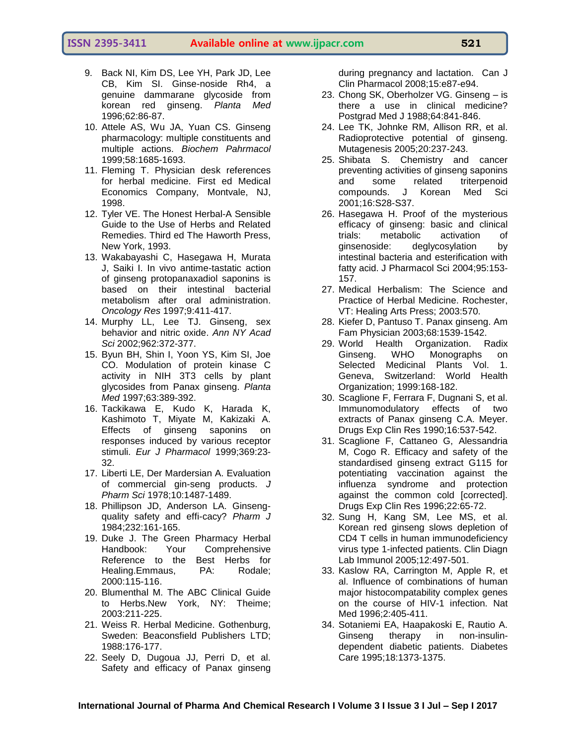- 9. Back NI, Kim DS, Lee YH, Park JD, Lee CB, Kim SI. Ginse-noside Rh4, a genuine dammarane glycoside from korean red ginseng. *Planta Med*  1996;62:86-87.
- 10. Attele AS, Wu JA, Yuan CS. Ginseng pharmacology: multiple constituents and multiple actions. *Biochem Pahrmacol*  1999;58:1685-1693.
- 11. Fleming T. Physician desk references for herbal medicine. First ed Medical Economics Company, Montvale, NJ, 1998.
- 12. Tyler VE. The Honest Herbal-A Sensible Guide to the Use of Herbs and Related Remedies. Third ed The Haworth Press, New York, 1993.
- 13. Wakabayashi C, Hasegawa H, Murata J, Saiki I. In vivo antime-tastatic action of ginseng protopanaxadiol saponins is based on their intestinal bacterial metabolism after oral administration. *Oncology Res* 1997;9:411-417.
- 14. Murphy LL, Lee TJ. Ginseng, sex behavior and nitric oxide. *Ann NY Acad Sci* 2002;962:372-377.
- 15. Byun BH, Shin I, Yoon YS, Kim SI, Joe CO. Modulation of protein kinase C activity in NIH 3T3 cells by plant glycosides from Panax ginseng. *Planta Med* 1997;63:389-392.
- 16. Tackikawa E, Kudo K, Harada K, Kashimoto T, Miyate M, Kakizaki A. Effects of ginseng saponins on responses induced by various receptor stimuli. *Eur J Pharmacol* 1999;369:23- 32.
- 17. Liberti LE, Der Mardersian A. Evaluation of commercial gin-seng products. *J Pharm Sci* 1978;10:1487-1489.
- 18. Phillipson JD, Anderson LA. Ginsengquality safety and effi-cacy? *Pharm J*  1984;232:161-165.
- 19. Duke J. The Green Pharmacy Herbal Handbook: Your Comprehensive Reference to the Best Herbs for Healing.Emmaus, PA: Rodale; 2000:115-116.
- 20. Blumenthal M. The ABC Clinical Guide to Herbs.New York, NY: Theime; 2003:211-225.
- 21. Weiss R. Herbal Medicine. Gothenburg, Sweden: Beaconsfield Publishers LTD; 1988:176-177.
- 22. Seely D, Dugoua JJ, Perri D, et al. Safety and efficacy of Panax ginseng

during pregnancy and lactation. Can J Clin Pharmacol 2008;15:e87-e94.

- 23. Chong SK, Oberholzer VG. Ginseng is there a use in clinical medicine? Postgrad Med J 1988;64:841-846.
- 24. Lee TK, Johnke RM, Allison RR, et al. Radioprotective potential of ginseng. Mutagenesis 2005;20:237-243.
- 25. Shibata S. Chemistry and cancer preventing activities of ginseng saponins and some related triterpenoid compounds. J Korean Med Sci 2001;16:S28-S37.
- 26. Hasegawa H. Proof of the mysterious efficacy of ginseng: basic and clinical trials: metabolic activation of ginsenoside: deglycosylation by intestinal bacteria and esterification with fatty acid. J Pharmacol Sci 2004;95:153- 157.
- 27. Medical Herbalism: The Science and Practice of Herbal Medicine. Rochester, VT: Healing Arts Press; 2003:570.
- 28. Kiefer D, Pantuso T. Panax ginseng. Am Fam Physician 2003;68:1539-1542.
- 29. World Health Organization. Radix Ginseng. WHO Monographs on Selected Medicinal Plants Vol. 1. Geneva, Switzerland: World Health Organization; 1999:168-182.
- 30. Scaglione F, Ferrara F, Dugnani S, et al. Immunomodulatory effects of two extracts of Panax ginseng C.A. Meyer. Drugs Exp Clin Res 1990;16:537-542.
- 31. Scaglione F, Cattaneo G, Alessandria M, Cogo R. Efficacy and safety of the standardised ginseng extract G115 for potentiating vaccination against the influenza syndrome and protection against the common cold [corrected]. Drugs Exp Clin Res 1996;22:65-72.
- 32. Sung H, Kang SM, Lee MS, et al. Korean red ginseng slows depletion of CD4 T cells in human immunodeficiency virus type 1-infected patients. Clin Diagn Lab Immunol 2005;12:497-501.
- 33. Kaslow RA, Carrington M, Apple R, et al. Influence of combinations of human major histocompatability complex genes on the course of HIV-1 infection. Nat Med 1996;2:405-411.
- 34. Sotaniemi EA, Haapakoski E, Rautio A. Ginseng therapy in non-insulindependent diabetic patients. Diabetes Care 1995;18:1373-1375.